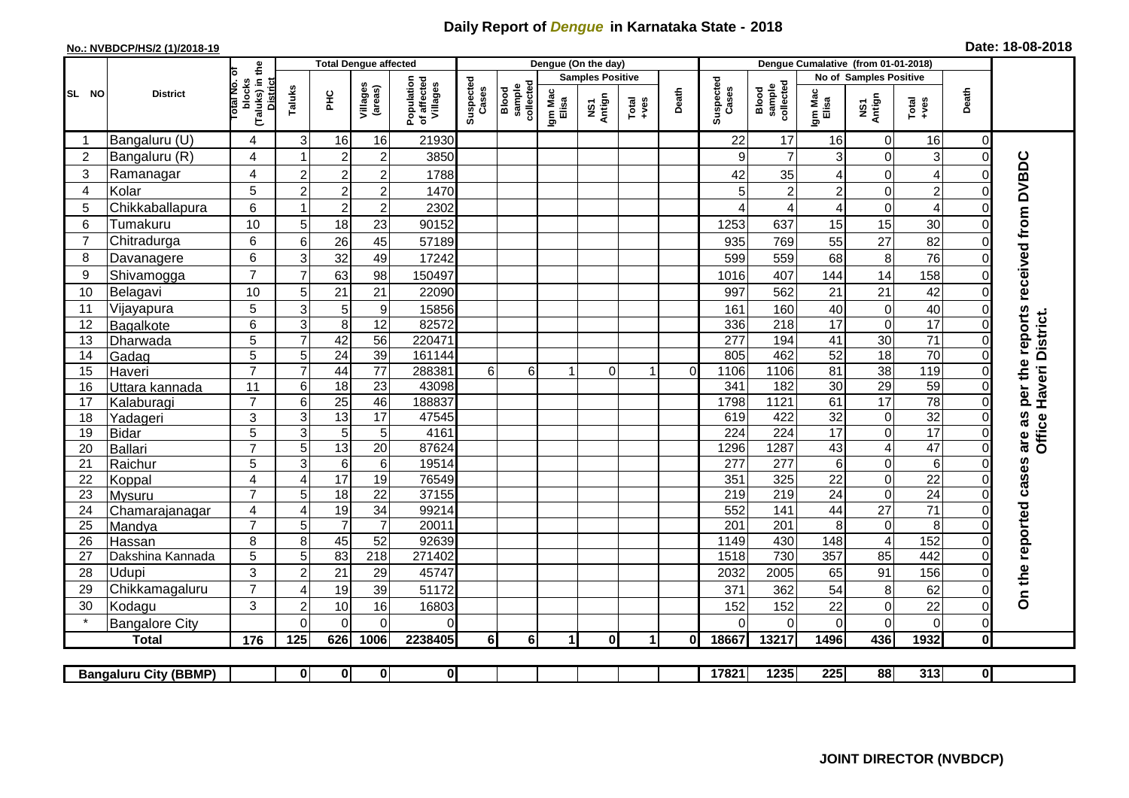## **Daily Report of** *Dengue* **in Karnataka State - 2018**

## **No.: NVBDCP/HS/2 (1)/2018-19 Date: 18-08-2018**

|                                                                                                         | <b>District</b>       |                                                   |                     | <b>Total Dengue affected</b>      |                         |                                       |                    |                              |                         | Dengue (On the day)               |                      |             |                         |                              |                        |                  |                         |                            |                                     |
|---------------------------------------------------------------------------------------------------------|-----------------------|---------------------------------------------------|---------------------|-----------------------------------|-------------------------|---------------------------------------|--------------------|------------------------------|-------------------------|-----------------------------------|----------------------|-------------|-------------------------|------------------------------|------------------------|------------------|-------------------------|----------------------------|-------------------------------------|
|                                                                                                         |                       | ō                                                 |                     |                                   |                         |                                       | Suspected<br>Cases |                              | <b>Samples Positive</b> |                                   |                      |             |                         |                              | No of Samples Positive |                  |                         |                            |                                     |
| SL NO                                                                                                   |                       | (Taluks) in the<br>District<br>otal No.<br>blocks | Taluks              | <b>PHC</b>                        | Villages<br>(areas)     | Population<br>of affected<br>Villages |                    | sample<br>collected<br>Blood | Igm Mac<br>Elisa        | Antign<br>$\overline{\mathbf{s}}$ | Total<br>+ves        | Death       | Suspected<br>Cases      | collected<br>sample<br>Blood | Igm Mac<br>Elisa       | NS1<br>Antign    | Total<br>+ves           | Death                      |                                     |
|                                                                                                         | Bangaluru (U)         | 4                                                 | 3                   | 16                                | 16                      | 21930                                 |                    |                              |                         |                                   |                      |             | 22                      | 17                           | 16                     | $\mathbf 0$      | 16                      | 0                          |                                     |
| $\overline{2}$                                                                                          | Bangaluru (R)         | 4                                                 |                     | $\overline{2}$                    | $\overline{\mathbf{c}}$ | 3850                                  |                    |                              |                         |                                   |                      |             | 9                       | $\overline{7}$               | 3                      | 0                | 3                       | $\mathbf 0$                |                                     |
| 3                                                                                                       | Ramanagar             | 4                                                 | $\overline{2}$      | $\overline{2}$                    | $\overline{c}$          | 1788                                  |                    |                              |                         |                                   |                      |             | 42                      | 35                           | 4                      | 0                | $\overline{\mathbf{4}}$ | $\Omega$                   | per the reports received from DVBDC |
| $\overline{4}$                                                                                          | Kolar                 | 5                                                 | $\overline{2}$      | $\overline{2}$                    | $\overline{c}$          | 1470                                  |                    |                              |                         |                                   |                      |             | 5                       |                              | $\overline{c}$         | 0                | $\overline{c}$          | $\mathbf 0$                |                                     |
| 5                                                                                                       | Chikkaballapura       | 6                                                 | $\overline{1}$      | $\overline{c}$                    | $\mathbf 2$             | 2302                                  |                    |                              |                         |                                   |                      |             | 4                       |                              | 4                      | 0                | $\overline{\mathbf{4}}$ | $\mathbf 0$                |                                     |
| 6                                                                                                       | Tumakuru              | 10                                                | 5                   | 18                                | 23                      | 90152                                 |                    |                              |                         |                                   |                      |             | 1253                    | 637                          | 15                     | 15               | 30                      | $\Omega$                   |                                     |
| 7                                                                                                       | Chitradurga           | 6                                                 | 6                   | 26                                | 45                      | 57189                                 |                    |                              |                         |                                   |                      |             | 935                     | 769                          | 55                     | 27               | 82                      | $\mathbf 0$                |                                     |
| 8                                                                                                       | Davanagere            | 6                                                 | 3                   | 32                                | 49                      | 17242                                 |                    |                              |                         |                                   |                      |             | 599                     | 559                          | 68                     | $\bf 8$          | 76                      | $\mathbf 0$                |                                     |
| 9                                                                                                       | Shivamogga            | $\overline{7}$                                    | $\overline{7}$      | 63                                | 98                      | 150497                                |                    |                              |                         |                                   |                      |             | 1016                    | 407                          | 144                    | 14               | 158                     | $\mathbf 0$                |                                     |
| 10                                                                                                      | Belagavi              | 10                                                | 5                   | 21                                | 21                      | 22090                                 |                    |                              |                         |                                   |                      |             | 997                     | 562                          | 21                     | 21               | 42                      | $\overline{0}$             |                                     |
| 11                                                                                                      | Vijayapura            | 5                                                 | 3                   | 5                                 | $\boldsymbol{9}$        | 15856                                 |                    |                              |                         |                                   |                      |             | 161                     | 160                          | 40                     | $\mathbf 0$      | 40                      | $\mathbf 0$                |                                     |
| 12                                                                                                      | Bagalkote             | 6                                                 | $\overline{3}$      | 8                                 | 12                      | 82572                                 |                    |                              |                         |                                   |                      |             | 336                     | $\overline{218}$             | 17                     | $\boldsymbol{0}$ | 17                      | $\Omega$                   | Haveri District.                    |
| 13                                                                                                      | Dharwada              | 5                                                 | $\overline{7}$      | 42                                | 56                      | 220471                                |                    |                              |                         |                                   |                      |             | 277                     | 194                          | 41                     | $\overline{30}$  | $\overline{71}$         | $\mathbf 0$                |                                     |
| 14                                                                                                      | Gadag                 | $\overline{5}$                                    | $\sqrt{5}$          | 24                                | 39                      | 161144                                |                    |                              |                         |                                   |                      |             | 805                     | 462                          | 52                     | 18               | 70                      | $\overline{0}$             |                                     |
| 15                                                                                                      | Haveri                | $\overline{7}$                                    | $\overline{7}$      | 44                                | $\overline{77}$         | 288381                                | 6 <sup>1</sup>     | $6\phantom{a}$               |                         | $\Omega$                          | -1                   | $\mathbf 0$ | 1106                    | 1106                         | 81                     | 38               | 119                     | $\mathbf 0$                |                                     |
| 16                                                                                                      | Uttara kannada        | 11                                                | $\,6$               | $\overline{18}$                   | $\overline{23}$         | 43098                                 |                    |                              |                         |                                   |                      |             | 341                     | 182                          | 30                     | 29               | 59                      | $\Omega$                   |                                     |
| 17                                                                                                      | Kalaburagi            | $\overline{7}$                                    | $\overline{6}$      | $\overline{25}$                   | 46                      | 188837                                |                    |                              |                         |                                   |                      |             | 1798                    | 1121                         | 61                     | 17               | 78                      | $\Omega$                   |                                     |
| 18                                                                                                      | Yadageri              | 3                                                 | 3                   | 13                                | 17                      | 47545                                 |                    |                              |                         |                                   |                      |             | 619                     | 422                          | 32                     | $\pmb{0}$        | 32                      | $\mathbf 0$                |                                     |
| 19                                                                                                      | <b>Bidar</b>          | 5                                                 | 3                   | 5                                 | $\sqrt{5}$              | 4161                                  |                    |                              |                         |                                   |                      |             | $\overline{224}$        | 224                          | 17                     | 0                | 17                      | $\Omega$                   | are as<br>Office                    |
| 20                                                                                                      | Ballari               | $\overline{7}$                                    | $\overline{5}$      | 13                                | $\overline{20}$         | 87624                                 |                    |                              |                         |                                   |                      |             | 1296                    | 1287<br>277                  | 43                     | $\overline{4}$   | 47                      | $\overline{0}$             |                                     |
| 21<br>22                                                                                                | Raichur               | 5<br>$\overline{\mathbf{4}}$                      | $\overline{3}$<br>4 | $\overline{6}$<br>$\overline{17}$ | $\overline{6}$<br>19    | 19514<br>76549                        |                    |                              |                         |                                   |                      |             | $\overline{277}$<br>351 | 325                          | $\,6$<br>22            | 0<br>0           | 6<br>$\overline{22}$    | $\mathbf 0$<br>$\mathbf 0$ |                                     |
| 23                                                                                                      | Koppal<br>Mysuru      | $\overline{7}$                                    | $\overline{5}$      | 18                                | $\overline{22}$         | 37155                                 |                    |                              |                         |                                   |                      |             | 219                     | 219                          | 24                     | $\overline{0}$   | 24                      | $\mathbf 0$                |                                     |
| 24                                                                                                      | Chamarajanagar        | 4                                                 | $\overline{4}$      | 19                                | $\overline{34}$         | 99214                                 |                    |                              |                         |                                   |                      |             | 552                     | 141                          | 44                     | $\overline{27}$  | $\overline{71}$         | $\Omega$                   |                                     |
| 25                                                                                                      | Mandya                | $\overline{7}$                                    | 5                   | $\overline{7}$                    | $\overline{7}$          | 20011                                 |                    |                              |                         |                                   |                      |             | 201                     | 201                          | 8                      | $\pmb{0}$        | 8                       | $\mathbf 0$                |                                     |
| 26                                                                                                      | Hassan                | 8                                                 | 8                   | 45                                | 52                      | 92639                                 |                    |                              |                         |                                   |                      |             | 1149                    | 430                          | 148                    | $\overline{4}$   | 152                     | $\mathbf 0$                |                                     |
| 27                                                                                                      | Dakshina Kannada      | 5                                                 | $\overline{5}$      | 83                                | 218                     | 271402                                |                    |                              |                         |                                   |                      |             | 1518                    | 730                          | 357                    | 85               | 442                     | $\Omega$                   |                                     |
| 28                                                                                                      | Udupi                 | 3                                                 | $\overline{2}$      | 21                                | 29                      | 45747                                 |                    |                              |                         |                                   |                      |             | 2032                    | 2005                         | 65                     | 91               | 156                     | $\mathbf 0$                | On the reported cases               |
| 29                                                                                                      | Chikkamagaluru        | $\overline{7}$                                    | 4                   | 19                                | 39                      | 51172                                 |                    |                              |                         |                                   |                      |             | 371                     | 362                          | 54                     | 8                | 62                      | $\Omega$                   |                                     |
| 30                                                                                                      | Kodagu                | 3                                                 | $\boldsymbol{2}$    | 10                                | 16                      | 16803                                 |                    |                              |                         |                                   |                      |             | 152                     | 152                          | 22                     | 0                | 22                      | 0                          |                                     |
|                                                                                                         | <b>Bangalore City</b> |                                                   | $\Omega$            | $\mathbf{0}$                      | 0                       | $\Omega$                              |                    |                              |                         |                                   |                      |             | ∩                       | $\Omega$                     | 0                      | 0                | $\overline{0}$          | $\mathbf 0$                |                                     |
|                                                                                                         | <b>Total</b>          | 176                                               | 125                 | 626                               | 1006                    | 2238405                               | 6 <sup>1</sup>     | <b>6</b>                     | $\mathbf{1}$            | 0I                                | $\blacktriangleleft$ | 0l          | 18667                   | 13217                        | 1496                   | 436              | 1932                    | $\bf{0}$                   |                                     |
|                                                                                                         |                       |                                                   |                     |                                   |                         |                                       |                    |                              |                         |                                   |                      |             |                         |                              |                        |                  |                         |                            |                                     |
| $\bf{0}$<br>$\mathbf{0}$<br> 0 <br>17821<br>1235<br>225<br>$\mathbf{0}$<br><b>Bangaluru City (BBMP)</b> |                       |                                                   |                     |                                   |                         |                                       |                    |                              |                         |                                   | 88                   | 313         | $\overline{0}$          |                              |                        |                  |                         |                            |                                     |